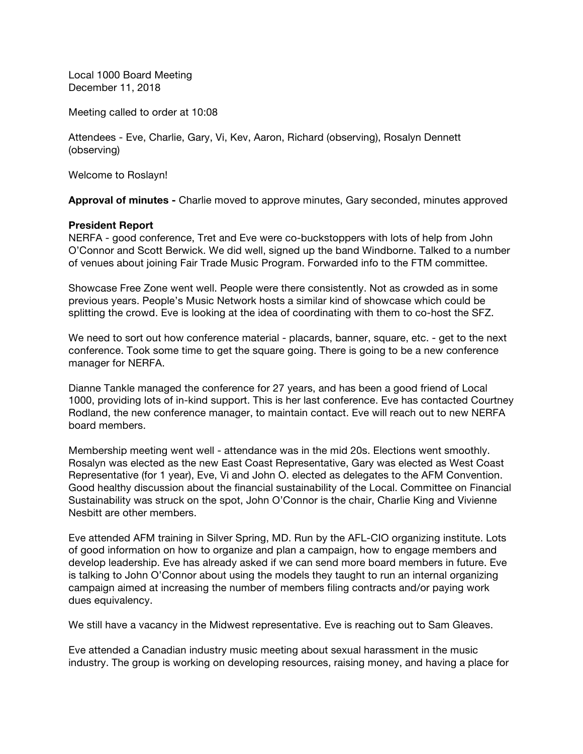Local 1000 Board Meeting December 11, 2018

Meeting called to order at 10:08

Attendees - Eve, Charlie, Gary, Vi, Kev, Aaron, Richard (observing), Rosalyn Dennett (observing)

Welcome to Roslayn!

**Approval of minutes -** Charlie moved to approve minutes, Gary seconded, minutes approved

#### **President Report**

NERFA - good conference, Tret and Eve were co-buckstoppers with lots of help from John O'Connor and Scott Berwick. We did well, signed up the band Windborne. Talked to a number of venues about joining Fair Trade Music Program. Forwarded info to the FTM committee.

Showcase Free Zone went well. People were there consistently. Not as crowded as in some previous years. People's Music Network hosts a similar kind of showcase which could be splitting the crowd. Eve is looking at the idea of coordinating with them to co-host the SFZ.

We need to sort out how conference material - placards, banner, square, etc. - get to the next conference. Took some time to get the square going. There is going to be a new conference manager for NERFA.

Dianne Tankle managed the conference for 27 years, and has been a good friend of Local 1000, providing lots of in-kind support. This is her last conference. Eve has contacted Courtney Rodland, the new conference manager, to maintain contact. Eve will reach out to new NERFA board members.

Membership meeting went well - attendance was in the mid 20s. Elections went smoothly. Rosalyn was elected as the new East Coast Representative, Gary was elected as West Coast Representative (for 1 year), Eve, Vi and John O. elected as delegates to the AFM Convention. Good healthy discussion about the financial sustainability of the Local. Committee on Financial Sustainability was struck on the spot, John O'Connor is the chair, Charlie King and Vivienne Nesbitt are other members.

Eve attended AFM training in Silver Spring, MD. Run by the AFL-CIO organizing institute. Lots of good information on how to organize and plan a campaign, how to engage members and develop leadership. Eve has already asked if we can send more board members in future. Eve is talking to John O'Connor about using the models they taught to run an internal organizing campaign aimed at increasing the number of members filing contracts and/or paying work dues equivalency.

We still have a vacancy in the Midwest representative. Eve is reaching out to Sam Gleaves.

Eve attended a Canadian industry music meeting about sexual harassment in the music industry. The group is working on developing resources, raising money, and having a place for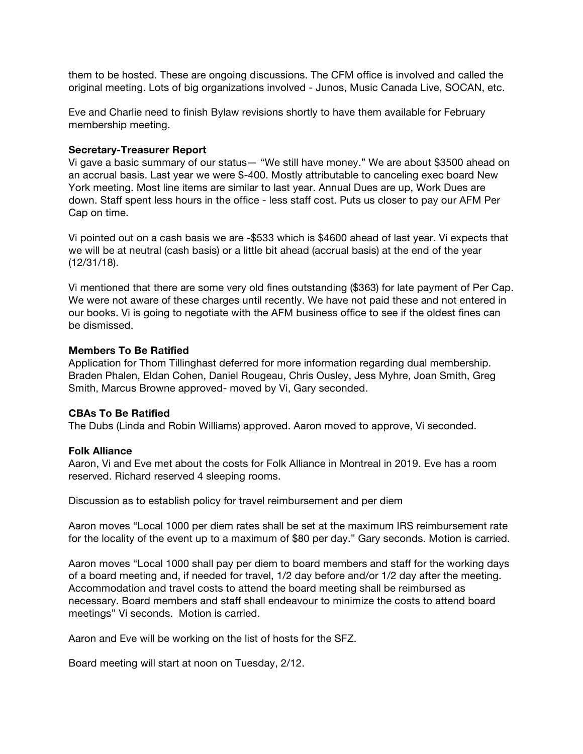them to be hosted. These are ongoing discussions. The CFM office is involved and called the original meeting. Lots of big organizations involved - Junos, Music Canada Live, SOCAN, etc.

Eve and Charlie need to finish Bylaw revisions shortly to have them available for February membership meeting.

#### **Secretary-Treasurer Report**

Vi gave a basic summary of our status— "We still have money." We are about \$3500 ahead on an accrual basis. Last year we were \$-400. Mostly attributable to canceling exec board New York meeting. Most line items are similar to last year. Annual Dues are up, Work Dues are down. Staff spent less hours in the office - less staff cost. Puts us closer to pay our AFM Per Cap on time.

Vi pointed out on a cash basis we are -\$533 which is \$4600 ahead of last year. Vi expects that we will be at neutral (cash basis) or a little bit ahead (accrual basis) at the end of the year (12/31/18).

Vi mentioned that there are some very old fines outstanding (\$363) for late payment of Per Cap. We were not aware of these charges until recently. We have not paid these and not entered in our books. Vi is going to negotiate with the AFM business office to see if the oldest fines can be dismissed.

#### **Members To Be Ratified**

Application for Thom Tillinghast deferred for more information regarding dual membership. Braden Phalen, Eldan Cohen, Daniel Rougeau, Chris Ousley, Jess Myhre, Joan Smith, Greg Smith, Marcus Browne approved- moved by Vi, Gary seconded.

#### **CBAs To Be Ratified**

The Dubs (Linda and Robin Williams) approved. Aaron moved to approve, Vi seconded.

#### **Folk Alliance**

Aaron, Vi and Eve met about the costs for Folk Alliance in Montreal in 2019. Eve has a room reserved. Richard reserved 4 sleeping rooms.

Discussion as to establish policy for travel reimbursement and per diem

Aaron moves "Local 1000 per diem rates shall be set at the maximum IRS reimbursement rate for the locality of the event up to a maximum of \$80 per day." Gary seconds. Motion is carried.

Aaron moves "Local 1000 shall pay per diem to board members and staff for the working days of a board meeting and, if needed for travel, 1/2 day before and/or 1/2 day after the meeting. Accommodation and travel costs to attend the board meeting shall be reimbursed as necessary. Board members and staff shall endeavour to minimize the costs to attend board meetings" Vi seconds. Motion is carried.

Aaron and Eve will be working on the list of hosts for the SFZ.

Board meeting will start at noon on Tuesday, 2/12.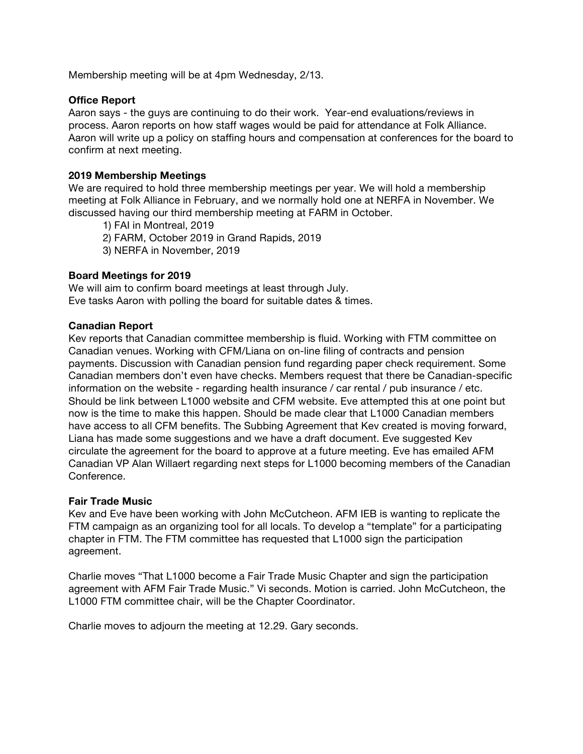Membership meeting will be at 4pm Wednesday, 2/13.

#### **Office Report**

Aaron says - the guys are continuing to do their work. Year-end evaluations/reviews in process. Aaron reports on how staff wages would be paid for attendance at Folk Alliance. Aaron will write up a policy on staffing hours and compensation at conferences for the board to confirm at next meeting.

#### **2019 Membership Meetings**

We are required to hold three membership meetings per year. We will hold a membership meeting at Folk Alliance in February, and we normally hold one at NERFA in November. We discussed having our third membership meeting at FARM in October.

1) FAI in Montreal, 2019

- 2) FARM, October 2019 in Grand Rapids, 2019
- 3) NERFA in November, 2019

#### **Board Meetings for 2019**

We will aim to confirm board meetings at least through July. Eve tasks Aaron with polling the board for suitable dates & times.

#### **Canadian Report**

Kev reports that Canadian committee membership is fluid. Working with FTM committee on Canadian venues. Working with CFM/Liana on on-line filing of contracts and pension payments. Discussion with Canadian pension fund regarding paper check requirement. Some Canadian members don't even have checks. Members request that there be Canadian-specific information on the website - regarding health insurance / car rental / pub insurance / etc. Should be link between L1000 website and CFM website. Eve attempted this at one point but now is the time to make this happen. Should be made clear that L1000 Canadian members have access to all CFM benefits. The Subbing Agreement that Kev created is moving forward, Liana has made some suggestions and we have a draft document. Eve suggested Kev circulate the agreement for the board to approve at a future meeting. Eve has emailed AFM Canadian VP Alan Willaert regarding next steps for L1000 becoming members of the Canadian Conference.

#### **Fair Trade Music**

Kev and Eve have been working with John McCutcheon. AFM IEB is wanting to replicate the FTM campaign as an organizing tool for all locals. To develop a "template" for a participating chapter in FTM. The FTM committee has requested that L1000 sign the participation agreement.

Charlie moves "That L1000 become a Fair Trade Music Chapter and sign the participation agreement with AFM Fair Trade Music." Vi seconds. Motion is carried. John McCutcheon, the L1000 FTM committee chair, will be the Chapter Coordinator.

Charlie moves to adjourn the meeting at 12.29. Gary seconds.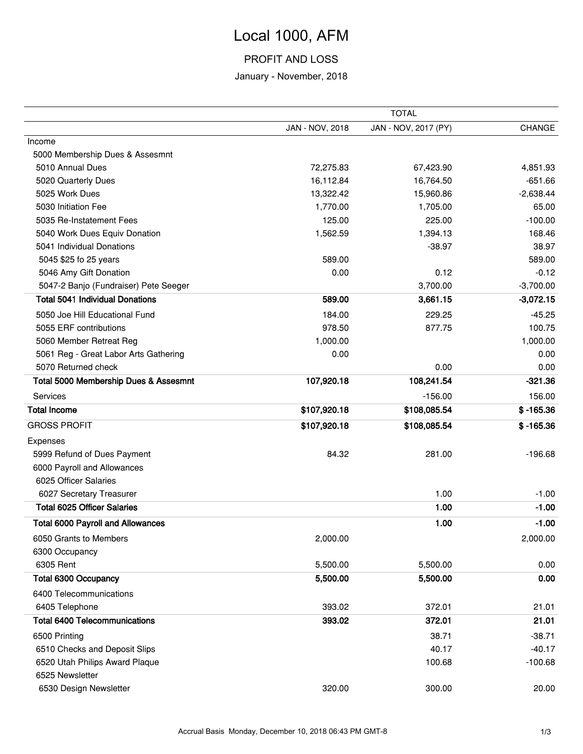# Local 1000, AFM

## PROFIT AND LOSS

### January - November, 2018

|                                          | <b>TOTAL</b>    |                      |               |  |  |
|------------------------------------------|-----------------|----------------------|---------------|--|--|
|                                          | JAN - NOV, 2018 | JAN - NOV, 2017 (PY) | <b>CHANGE</b> |  |  |
| Income                                   |                 |                      |               |  |  |
| 5000 Membership Dues & Assesmnt          |                 |                      |               |  |  |
| 5010 Annual Dues                         | 72,275.83       | 67,423.90            | 4,851.93      |  |  |
| 5020 Quarterly Dues                      | 16,112.84       | 16,764.50            | $-651.66$     |  |  |
| 5025 Work Dues                           | 13,322.42       | 15,960.86            | $-2,638.44$   |  |  |
| 5030 Initiation Fee                      | 1,770.00        | 1,705.00             | 65.00         |  |  |
| 5035 Re-Instatement Fees                 | 125.00          | 225.00               | $-100.00$     |  |  |
| 5040 Work Dues Equiv Donation            | 1,562.59        | 1,394.13             | 168.46        |  |  |
| 5041 Individual Donations                |                 | $-38.97$             | 38.97         |  |  |
| 5045 \$25 fo 25 years                    | 589.00          |                      | 589.00        |  |  |
| 5046 Amy Gift Donation                   | 0.00            | 0.12                 | $-0.12$       |  |  |
| 5047-2 Banjo (Fundraiser) Pete Seeger    |                 | 3,700.00             | $-3,700.00$   |  |  |
| <b>Total 5041 Individual Donations</b>   | 589.00          | 3,661.15             | $-3,072.15$   |  |  |
| 5050 Joe Hill Educational Fund           | 184.00          | 229.25               | $-45.25$      |  |  |
| 5055 ERF contributions                   | 978.50          | 877.75               | 100.75        |  |  |
| 5060 Member Retreat Reg                  | 1,000.00        |                      | 1,000.00      |  |  |
| 5061 Reg - Great Labor Arts Gathering    | 0.00            |                      | 0.00          |  |  |
| 5070 Returned check                      |                 | 0.00                 | 0.00          |  |  |
| Total 5000 Membership Dues & Assesmnt    | 107,920.18      | 108,241.54           | $-321.36$     |  |  |
| Services                                 |                 | $-156.00$            | 156.00        |  |  |
| <b>Total Income</b>                      | \$107,920.18    | \$108,085.54         | $$ -165.36$   |  |  |
| <b>GROSS PROFIT</b>                      | \$107,920.18    | \$108,085.54         | $$ -165.36$   |  |  |
| Expenses                                 |                 |                      |               |  |  |
| 5999 Refund of Dues Payment              | 84.32           | 281.00               | $-196.68$     |  |  |
| 6000 Payroll and Allowances              |                 |                      |               |  |  |
| 6025 Officer Salaries                    |                 |                      |               |  |  |
| 6027 Secretary Treasurer                 |                 | 1.00                 | $-1.00$       |  |  |
| <b>Total 6025 Officer Salaries</b>       |                 | 1.00                 | $-1.00$       |  |  |
| <b>Total 6000 Payroll and Allowances</b> |                 | 1.00                 | $-1.00$       |  |  |
| 6050 Grants to Members                   | 2,000.00        |                      | 2,000.00      |  |  |
| 6300 Occupancy                           |                 |                      |               |  |  |
| 6305 Rent                                | 5,500.00        | 5,500.00             | 0.00          |  |  |
| <b>Total 6300 Occupancy</b>              | 5,500.00        | 5,500.00             | 0.00          |  |  |
| 6400 Telecommunications                  |                 |                      |               |  |  |
| 6405 Telephone                           | 393.02          | 372.01               | 21.01         |  |  |
| <b>Total 6400 Telecommunications</b>     | 393.02          | 372.01               | 21.01         |  |  |
| 6500 Printing                            |                 | 38.71                | $-38.71$      |  |  |
| 6510 Checks and Deposit Slips            |                 | 40.17                | $-40.17$      |  |  |
| 6520 Utah Philips Award Plaque           |                 | 100.68               | $-100.68$     |  |  |
| 6525 Newsletter                          |                 |                      |               |  |  |
| 6530 Design Newsletter                   | 320.00          | 300.00               | 20.00         |  |  |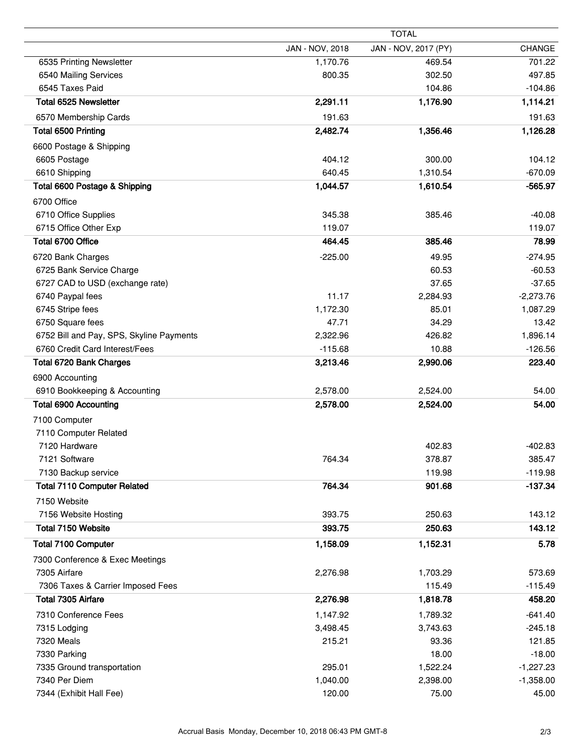|                                          | JAN - NOV, 2018 | JAN - NOV, 2017 (PY) | <b>CHANGE</b> |
|------------------------------------------|-----------------|----------------------|---------------|
| 6535 Printing Newsletter                 | 1,170.76        | 469.54               | 701.22        |
| 6540 Mailing Services                    | 800.35          | 302.50               | 497.85        |
| 6545 Taxes Paid                          |                 | 104.86               | $-104.86$     |
| Total 6525 Newsletter                    | 2,291.11        | 1,176.90             | 1,114.21      |
| 6570 Membership Cards                    | 191.63          |                      | 191.63        |
| Total 6500 Printing                      | 2,482.74        | 1,356.46             | 1,126.28      |
| 6600 Postage & Shipping                  |                 |                      |               |
| 6605 Postage                             | 404.12          | 300.00               | 104.12        |
| 6610 Shipping                            | 640.45          | 1,310.54             | $-670.09$     |
| Total 6600 Postage & Shipping            | 1,044.57        | 1,610.54             | $-565.97$     |
| 6700 Office                              |                 |                      |               |
| 6710 Office Supplies                     | 345.38          | 385.46               | $-40.08$      |
| 6715 Office Other Exp                    | 119.07          |                      | 119.07        |
| Total 6700 Office                        | 464.45          | 385.46               | 78.99         |
| 6720 Bank Charges                        | $-225.00$       | 49.95                | $-274.95$     |
| 6725 Bank Service Charge                 |                 | 60.53                | $-60.53$      |
| 6727 CAD to USD (exchange rate)          |                 | 37.65                | $-37.65$      |
| 6740 Paypal fees                         | 11.17           | 2,284.93             | $-2,273.76$   |
| 6745 Stripe fees                         | 1,172.30        | 85.01                | 1,087.29      |
| 6750 Square fees                         | 47.71           | 34.29                | 13.42         |
| 6752 Bill and Pay, SPS, Skyline Payments | 2,322.96        | 426.82               | 1,896.14      |
| 6760 Credit Card Interest/Fees           | $-115.68$       | 10.88                | $-126.56$     |
| Total 6720 Bank Charges                  | 3,213.46        | 2,990.06             | 223.40        |
| 6900 Accounting                          |                 |                      |               |
| 6910 Bookkeeping & Accounting            | 2,578.00        | 2,524.00             | 54.00         |
| <b>Total 6900 Accounting</b>             | 2,578.00        | 2,524.00             | 54.00         |
| 7100 Computer                            |                 |                      |               |
| 7110 Computer Related                    |                 |                      |               |
| 7120 Hardware                            |                 | 402.83               | $-402.83$     |
| 7121 Software                            | 764.34          | 378.87               | 385.47        |
| 7130 Backup service                      |                 | 119.98               | $-119.98$     |
| <b>Total 7110 Computer Related</b>       | 764.34          | 901.68               | $-137.34$     |
| 7150 Website                             |                 |                      |               |
| 7156 Website Hosting                     | 393.75          | 250.63               | 143.12        |
| Total 7150 Website                       | 393.75          | 250.63               | 143.12        |
| <b>Total 7100 Computer</b>               | 1,158.09        | 1,152.31             | 5.78          |
| 7300 Conference & Exec Meetings          |                 |                      |               |
| 7305 Airfare                             | 2,276.98        | 1,703.29             | 573.69        |
| 7306 Taxes & Carrier Imposed Fees        |                 | 115.49               | $-115.49$     |
| Total 7305 Airfare                       | 2,276.98        | 1,818.78             | 458.20        |
| 7310 Conference Fees                     | 1,147.92        | 1,789.32             | $-641.40$     |
| 7315 Lodging                             | 3,498.45        | 3,743.63             | $-245.18$     |
| 7320 Meals                               | 215.21          | 93.36                | 121.85        |
| 7330 Parking                             |                 | 18.00                | $-18.00$      |
| 7335 Ground transportation               | 295.01          | 1,522.24             | $-1,227.23$   |
| 7340 Per Diem                            | 1,040.00        | 2,398.00             | $-1,358.00$   |
| 7344 (Exhibit Hall Fee)                  | 120.00          | 75.00                | 45.00         |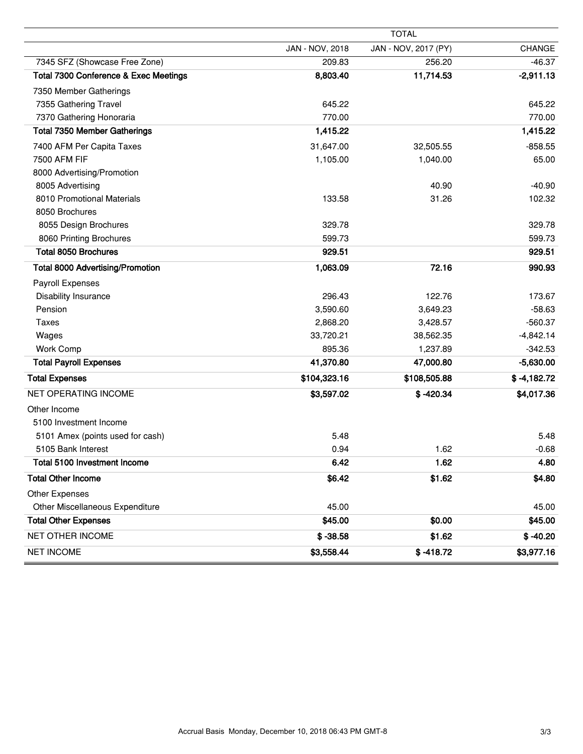|                                         | <b>TOTAL</b>    |                      |               |  |  |  |
|-----------------------------------------|-----------------|----------------------|---------------|--|--|--|
|                                         | JAN - NOV, 2018 | JAN - NOV, 2017 (PY) | <b>CHANGE</b> |  |  |  |
| 7345 SFZ (Showcase Free Zone)           | 209.83          | 256.20               | $-46.37$      |  |  |  |
| Total 7300 Conference & Exec Meetings   | 8,803.40        | 11,714.53            | $-2,911.13$   |  |  |  |
| 7350 Member Gatherings                  |                 |                      |               |  |  |  |
| 7355 Gathering Travel                   | 645.22          |                      | 645.22        |  |  |  |
| 7370 Gathering Honoraria                | 770.00          |                      | 770.00        |  |  |  |
| <b>Total 7350 Member Gatherings</b>     | 1,415.22        |                      | 1,415.22      |  |  |  |
| 7400 AFM Per Capita Taxes               | 31,647.00       | 32,505.55            | $-858.55$     |  |  |  |
| 7500 AFM FIF                            | 1,105.00        | 1,040.00             | 65.00         |  |  |  |
| 8000 Advertising/Promotion              |                 |                      |               |  |  |  |
| 8005 Advertising                        |                 | 40.90                | $-40.90$      |  |  |  |
| 8010 Promotional Materials              | 133.58          | 31.26                | 102.32        |  |  |  |
| 8050 Brochures                          |                 |                      |               |  |  |  |
| 8055 Design Brochures                   | 329.78          |                      | 329.78        |  |  |  |
| 8060 Printing Brochures                 | 599.73          |                      | 599.73        |  |  |  |
| <b>Total 8050 Brochures</b>             | 929.51          |                      | 929.51        |  |  |  |
| <b>Total 8000 Advertising/Promotion</b> | 1,063.09        | 72.16                | 990.93        |  |  |  |
| Payroll Expenses                        |                 |                      |               |  |  |  |
| Disability Insurance                    | 296.43          | 122.76               | 173.67        |  |  |  |
| Pension                                 | 3,590.60        | 3,649.23             | $-58.63$      |  |  |  |
| <b>Taxes</b>                            | 2,868.20        | 3,428.57             | $-560.37$     |  |  |  |
| Wages                                   | 33,720.21       | 38,562.35            | $-4,842.14$   |  |  |  |
| <b>Work Comp</b>                        | 895.36          | 1,237.89             | $-342.53$     |  |  |  |
| <b>Total Payroll Expenses</b>           | 41,370.80       | 47,000.80            | $-5,630.00$   |  |  |  |
| <b>Total Expenses</b>                   | \$104,323.16    | \$108,505.88         | $$ -4,182.72$ |  |  |  |
| <b>NET OPERATING INCOME</b>             | \$3,597.02      | $$ -420.34$          | \$4,017.36    |  |  |  |
| Other Income                            |                 |                      |               |  |  |  |
| 5100 Investment Income                  |                 |                      |               |  |  |  |
| 5101 Amex (points used for cash)        | 5.48            |                      | 5.48          |  |  |  |
| 5105 Bank Interest                      | 0.94            | 1.62                 | $-0.68$       |  |  |  |
| Total 5100 Investment Income            | 6.42            | 1.62                 | 4.80          |  |  |  |
| <b>Total Other Income</b>               | \$6.42          | \$1.62               | \$4.80        |  |  |  |
| Other Expenses                          |                 |                      |               |  |  |  |
| Other Miscellaneous Expenditure         | 45.00           |                      | 45.00         |  |  |  |
| <b>Total Other Expenses</b>             | \$45.00         | \$0.00               | \$45.00       |  |  |  |
| NET OTHER INCOME                        | $$ -38.58$      | \$1.62               | $$ -40.20$    |  |  |  |
| <b>NET INCOME</b>                       | \$3,558.44      | $$ -418.72$          | \$3,977.16    |  |  |  |

þ,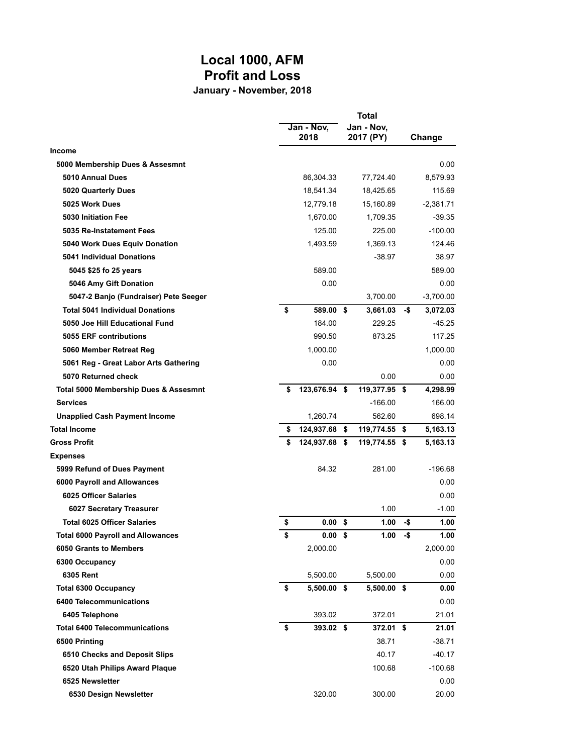# **Local 1000, AFM Profit and Loss**

**January - November, 2018**

|                                          | Jan - Nov,<br>2018      | Total<br>Jan - Nov.<br>2017 (PY) |     | Change      |
|------------------------------------------|-------------------------|----------------------------------|-----|-------------|
| Income                                   |                         |                                  |     |             |
| 5000 Membership Dues & Assesmnt          |                         |                                  |     | 0.00        |
| 5010 Annual Dues                         | 86,304.33               | 77,724.40                        |     | 8,579.93    |
| 5020 Quarterly Dues                      | 18,541.34               | 18,425.65                        |     | 115.69      |
| 5025 Work Dues                           | 12,779.18               | 15,160.89                        |     | $-2,381.71$ |
| 5030 Initiation Fee                      | 1,670.00                | 1,709.35                         |     | $-39.35$    |
| 5035 Re-Instatement Fees                 | 125.00                  | 225.00                           |     | $-100.00$   |
| 5040 Work Dues Equiv Donation            | 1,493.59                | 1,369.13                         |     | 124.46      |
| <b>5041 Individual Donations</b>         |                         | $-38.97$                         |     | 38.97       |
| 5045 \$25 fo 25 years                    | 589.00                  |                                  |     | 589.00      |
| 5046 Amy Gift Donation                   | 0.00                    |                                  |     | 0.00        |
| 5047-2 Banjo (Fundraiser) Pete Seeger    |                         | 3,700.00                         |     | $-3,700.00$ |
| <b>Total 5041 Individual Donations</b>   | \$<br>589.00 \$         | 3,661.03                         | -\$ | 3,072.03    |
| 5050 Joe Hill Educational Fund           | 184.00                  | 229.25                           |     | $-45.25$    |
| 5055 ERF contributions                   | 990.50                  | 873.25                           |     | 117.25      |
| 5060 Member Retreat Reg                  | 1,000.00                |                                  |     | 1,000.00    |
| 5061 Reg - Great Labor Arts Gathering    | 0.00                    |                                  |     | 0.00        |
| 5070 Returned check                      |                         | 0.00                             |     | 0.00        |
| Total 5000 Membership Dues & Assesmnt    | \$<br>123,676.94 \$     | 119,377.95 \$                    |     | 4,298.99    |
| <b>Services</b>                          |                         | $-166.00$                        |     | 166.00      |
| <b>Unapplied Cash Payment Income</b>     | 1,260.74                | 562.60                           |     | 698.14      |
| <b>Total Income</b>                      | \$<br>124,937.68 \$     | 119,774.55 \$                    |     | 5,163.13    |
| <b>Gross Profit</b>                      | \$<br>124,937.68 \$     | 119,774.55 \$                    |     | 5,163.13    |
| <b>Expenses</b>                          |                         |                                  |     |             |
| 5999 Refund of Dues Payment              | 84.32                   | 281.00                           |     | $-196.68$   |
| 6000 Payroll and Allowances              |                         |                                  |     | 0.00        |
| 6025 Officer Salaries                    |                         |                                  |     | 0.00        |
| 6027 Secretary Treasurer                 |                         | 1.00                             |     | $-1.00$     |
| <b>Total 6025 Officer Salaries</b>       | \$<br>0.00              | \$<br>1.00                       | -\$ | 1.00        |
| <b>Total 6000 Payroll and Allowances</b> | \$<br>0.00 <sup>5</sup> | 1.00                             | -\$ | 1.00        |
| 6050 Grants to Members                   | 2,000.00                |                                  |     | 2,000.00    |
| 6300 Occupancy                           |                         |                                  |     | 0.00        |
| 6305 Rent                                | 5,500.00                | 5,500.00                         |     | 0.00        |
| <b>Total 6300 Occupancy</b>              | \$<br>$5,500.00$ \$     | 5,500.00 \$                      |     | 0.00        |
| 6400 Telecommunications                  |                         |                                  |     | 0.00        |
| 6405 Telephone                           | 393.02                  | 372.01                           |     | 21.01       |
| <b>Total 6400 Telecommunications</b>     | \$<br>393.02 \$         | 372.01 \$                        |     | 21.01       |
| 6500 Printing                            |                         | 38.71                            |     | $-38.71$    |
| 6510 Checks and Deposit Slips            |                         | 40.17                            |     | -40.17      |
| 6520 Utah Philips Award Plaque           |                         | 100.68                           |     | $-100.68$   |
| 6525 Newsletter                          |                         |                                  |     | 0.00        |
| 6530 Design Newsletter                   | 320.00                  | 300.00                           |     | 20.00       |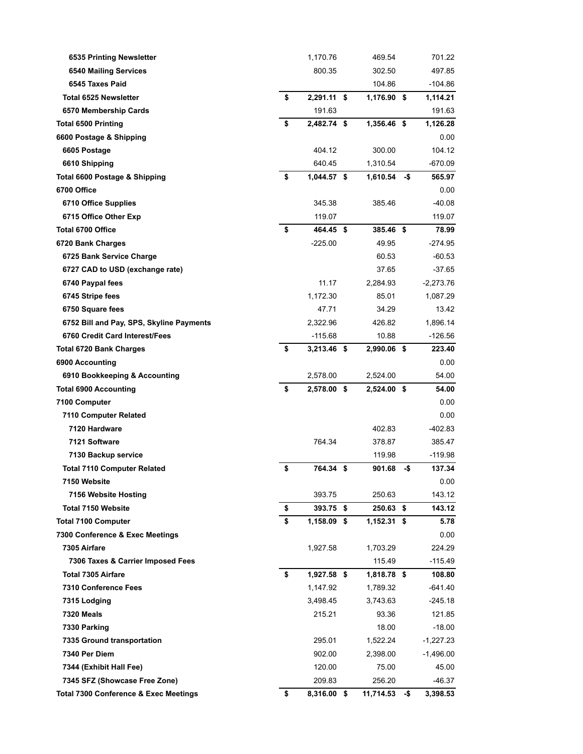| 6535 Printing Newsletter                         | 1,170.76          | 469.54        |     | 701.22      |
|--------------------------------------------------|-------------------|---------------|-----|-------------|
| <b>6540 Mailing Services</b>                     | 800.35            | 302.50        |     | 497.85      |
| 6545 Taxes Paid                                  |                   | 104.86        |     | $-104.86$   |
| <b>Total 6525 Newsletter</b>                     | \$<br>2,291.11 \$ | 1,176.90 \$   |     | 1,114.21    |
| 6570 Membership Cards                            | 191.63            |               |     | 191.63      |
| <b>Total 6500 Printing</b>                       | \$<br>2,482.74 \$ | 1,356.46 \$   |     | 1,126.28    |
| 6600 Postage & Shipping                          |                   |               |     | 0.00        |
| 6605 Postage                                     | 404.12            | 300.00        |     | 104.12      |
| 6610 Shipping                                    | 640.45            | 1,310.54      |     | $-670.09$   |
| Total 6600 Postage & Shipping                    | \$<br>1,044.57 \$ | 1,610.54      | -\$ | 565.97      |
| 6700 Office                                      |                   |               |     | 0.00        |
| 6710 Office Supplies                             | 345.38            | 385.46        |     | $-40.08$    |
| 6715 Office Other Exp                            | 119.07            |               |     | 119.07      |
| Total 6700 Office                                | \$<br>464.45 \$   | 385.46 \$     |     | 78.99       |
| 6720 Bank Charges                                | $-225.00$         | 49.95         |     | $-274.95$   |
| 6725 Bank Service Charge                         |                   | 60.53         |     | -60.53      |
| 6727 CAD to USD (exchange rate)                  |                   | 37.65         |     | $-37.65$    |
| 6740 Paypal fees                                 | 11.17             | 2,284.93      |     | $-2,273.76$ |
| 6745 Stripe fees                                 | 1,172.30          | 85.01         |     | 1,087.29    |
| 6750 Square fees                                 | 47.71             | 34.29         |     | 13.42       |
| 6752 Bill and Pay, SPS, Skyline Payments         | 2.322.96          | 426.82        |     | 1,896.14    |
| 6760 Credit Card Interest/Fees                   | $-115.68$         | 10.88         |     | -126.56     |
| Total 6720 Bank Charges                          | \$<br>3,213.46 \$ | 2,990.06 \$   |     | 223.40      |
| 6900 Accounting                                  |                   |               |     | 0.00        |
| 6910 Bookkeeping & Accounting                    | 2,578.00          | 2,524.00      |     | 54.00       |
| <b>Total 6900 Accounting</b>                     | \$<br>2,578.00 \$ | 2,524.00 \$   |     | 54.00       |
| 7100 Computer                                    |                   |               |     | 0.00        |
| 7110 Computer Related                            |                   |               |     | 0.00        |
| 7120 Hardware                                    |                   | 402.83        |     | -402.83     |
| 7121 Software                                    | 764.34            | 378.87        |     | 385.47      |
| 7130 Backup service                              |                   | 119.98        |     | -119.98     |
| <b>Total 7110 Computer Related</b>               | \$<br>764.34 \$   | 901.68        | -\$ | 137.34      |
| 7150 Website                                     |                   |               |     | 0.00        |
| 7156 Website Hosting                             | 393.75            | 250.63        |     | 143.12      |
| <b>Total 7150 Website</b>                        | \$<br>$393.75$ \$ | 250.63 \$     |     | 143.12      |
| <b>Total 7100 Computer</b>                       | \$<br>1,158.09 \$ | $1,152.31$ \$ |     | 5.78        |
| 7300 Conference & Exec Meetings                  |                   |               |     | 0.00        |
| 7305 Airfare                                     | 1,927.58          | 1,703.29      |     | 224.29      |
| 7306 Taxes & Carrier Imposed Fees                |                   | 115.49        |     | -115.49     |
| <b>Total 7305 Airfare</b>                        | \$<br>1,927.58 \$ | 1,818.78 \$   |     | 108.80      |
| 7310 Conference Fees                             | 1,147.92          | 1,789.32      |     | -641.40     |
| 7315 Lodging                                     | 3,498.45          | 3,743.63      |     | -245.18     |
| <b>7320 Meals</b>                                | 215.21            | 93.36         |     | 121.85      |
| 7330 Parking                                     |                   | 18.00         |     | $-18.00$    |
| 7335 Ground transportation                       | 295.01            | 1,522.24      |     | -1,227.23   |
| 7340 Per Diem                                    | 902.00            | 2,398.00      |     | -1,496.00   |
| 7344 (Exhibit Hall Fee)                          | 120.00            | 75.00         |     | 45.00       |
| 7345 SFZ (Showcase Free Zone)                    | 209.83            | 256.20        |     | $-46.37$    |
| <b>Total 7300 Conference &amp; Exec Meetings</b> | \$<br>8,316.00 \$ | 11,714.53     | -\$ | 3,398.53    |